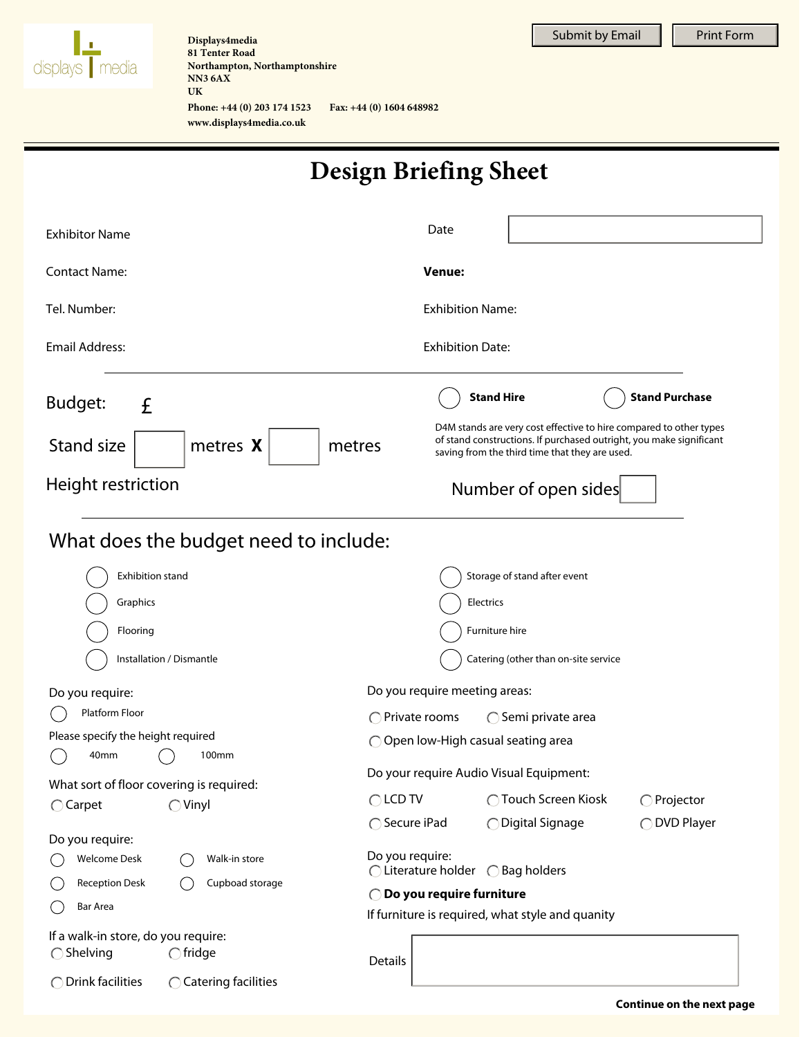

**NN3 6AX Displays4media 81 Tenter Road Northampton, Northamptonshire UK Phone: +44 (0) 203 174 1523 Fax: +44 (0) 1604 648982**

**www.displays4media.co.uk**

Submit by Email  $\|\cdot\|$  Print Form

| <b>Design Briefing Sheet</b> |
|------------------------------|
|------------------------------|

| <b>Exhibitor Name</b>                                         | Date                                                                                                                                                                                        |  |
|---------------------------------------------------------------|---------------------------------------------------------------------------------------------------------------------------------------------------------------------------------------------|--|
| <b>Contact Name:</b>                                          | <b>Venue:</b>                                                                                                                                                                               |  |
| Tel. Number:                                                  | <b>Exhibition Name:</b>                                                                                                                                                                     |  |
| Email Address:                                                | <b>Exhibition Date:</b>                                                                                                                                                                     |  |
| Budget:<br>£                                                  | <b>Stand Hire</b><br><b>Stand Purchase</b>                                                                                                                                                  |  |
| Stand size<br>metres X<br>metres                              | D4M stands are very cost effective to hire compared to other types<br>of stand constructions. If purchased outright, you make significant<br>saving from the third time that they are used. |  |
| Height restriction                                            | Number of open sides                                                                                                                                                                        |  |
| What does the budget need to include:                         |                                                                                                                                                                                             |  |
| Exhibition stand                                              | Storage of stand after event                                                                                                                                                                |  |
| Graphics                                                      | Electrics                                                                                                                                                                                   |  |
| Flooring                                                      | Furniture hire                                                                                                                                                                              |  |
| Installation / Dismantle                                      | Catering (other than on-site service                                                                                                                                                        |  |
| Do you require:                                               | Do you require meeting areas:                                                                                                                                                               |  |
| Platform Floor                                                | $\bigcap$ Private rooms<br>$\bigcirc$ Semi private area                                                                                                                                     |  |
| Please specify the height required                            | $\bigcirc$ Open low-High casual seating area                                                                                                                                                |  |
| 40 <sub>mm</sub><br>100mm                                     | Do your require Audio Visual Equipment:                                                                                                                                                     |  |
| What sort of floor covering is required:                      | $\bigcirc$ LCD TV<br>◯ Touch Screen Kiosk<br>$\bigcirc$ Projector                                                                                                                           |  |
| $\bigcirc$ Vinyl<br>$\bigcirc$ Carpet                         | ◯ Secure iPad<br>◯ Digital Signage<br>◯ DVD Player                                                                                                                                          |  |
| Do you require:                                               |                                                                                                                                                                                             |  |
| <b>Welcome Desk</b><br>Walk-in store                          | Do you require:<br>◯ Literature holder ◯ Bag holders                                                                                                                                        |  |
| <b>Reception Desk</b><br>Cupboad storage                      | ◯ Do you require furniture                                                                                                                                                                  |  |
| Bar Area                                                      | If furniture is required, what style and quanity                                                                                                                                            |  |
| If a walk-in store, do you require:                           |                                                                                                                                                                                             |  |
| $\bigcirc$ fridge<br>$\bigcirc$ Shelving                      | Details                                                                                                                                                                                     |  |
| $\bigcirc$ Drink facilities<br>$\bigcirc$ Catering facilities |                                                                                                                                                                                             |  |